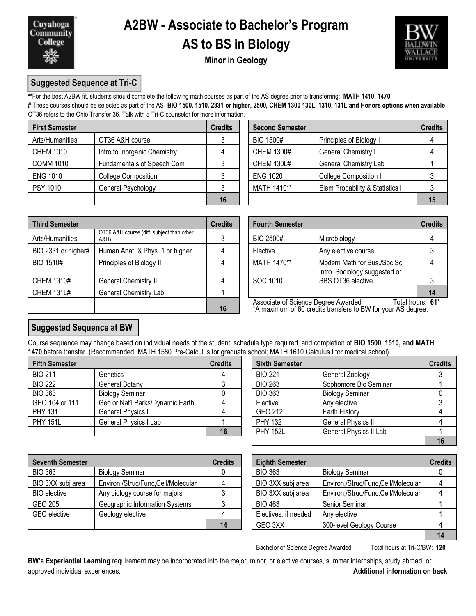

# **A2BW - Associate to Bachelor's Program AS to BS in Biology**



**Minor in Geology**

## **Suggested Sequence at Tri-C**

**\*\***For the best A2BW fit, students should complete the following math courses as part of the AS degree prior to transferring: **MATH 1410, 1470**

**#** These courses should be selected as part of the AS: **BIO 1500, 1510, 2331 or higher, 2500, CHEM 1300 130L, 1310, 131L and Honors options when available** OT36 refers to the Ohio Transfer 36. Talk with a Tri-C counselor for more information.

| <b>First Semester</b> |                              | <b>Credits</b> | <b>Second Semester</b> |                                 | <b>Credits</b> |
|-----------------------|------------------------------|----------------|------------------------|---------------------------------|----------------|
| Arts/Humanities       | OT36 A&H course              |                | <b>BIO 1500#</b>       | Principles of Biology I         |                |
| <b>CHEM 1010</b>      | Intro to Inorganic Chemistry |                | <b>CHEM 1300#</b>      | General Chemistry I             |                |
| <b>COMM 1010</b>      | Fundamentals of Speech Com   |                | <b>CHEM 130L#</b>      | <b>General Chemistry Lab</b>    |                |
| <b>ENG 1010</b>       | College Composition I        |                | <b>ENG 1020</b>        | <b>College Composition II</b>   |                |
| <b>PSY 1010</b>       | General Psychology           |                | MATH 1410**            | Elem Probability & Statistics I |                |
|                       |                              | 16             |                        |                                 | 15             |

| edits          | <b>Second Semester</b> |                                 | <b>Credits</b> |
|----------------|------------------------|---------------------------------|----------------|
| 3              | <b>BIO 1500#</b>       | Principles of Biology I         |                |
| $\overline{4}$ | <b>CHEM 1300#</b>      | General Chemistry I             |                |
| 3              | <b>CHEM 130L#</b>      | General Chemistry Lab           |                |
| 3              | <b>ENG 1020</b>        | <b>College Composition II</b>   |                |
| 3              | MATH 1410**            | Elem Probability & Statistics I |                |
| 16             |                        |                                 |                |

| <b>Third Semester</b> |                                                   | <b>Credits</b> |                                                                                                                  | <b>Fourth Semester</b>                             |                  |  |
|-----------------------|---------------------------------------------------|----------------|------------------------------------------------------------------------------------------------------------------|----------------------------------------------------|------------------|--|
| Arts/Humanities       | OT36 A&H course (diff. subject than other<br>A&H) |                | BIO 2500#                                                                                                        | Microbiology                                       |                  |  |
| BIO 2331 or higher#   | Human Anat. & Phys. 1 or higher                   |                | Elective                                                                                                         | Any elective course                                |                  |  |
| <b>BIO 1510#</b>      | Principles of Biology II                          |                | MATH 1470**                                                                                                      | Modern Math for Bus./Soc Sci                       |                  |  |
| <b>CHEM 1310#</b>     | General Chemistry II                              |                | SOC 1010                                                                                                         | Intro. Sociology suggested or<br>SBS OT36 elective |                  |  |
| <b>CHEM 131L#</b>     | General Chemistry Lab                             |                |                                                                                                                  |                                                    | 14               |  |
|                       |                                                   | 16             | Associate of Science Degree Awarded Total hours:<br>*A maximum of 60 credits transfers to BW for your AS degree. |                                                    | Total hours: 61* |  |

|                                                   | <b>Credits</b> | <b>Fourth Semester</b>              | <b>Credits</b>                                     |    |
|---------------------------------------------------|----------------|-------------------------------------|----------------------------------------------------|----|
| OT36 A&H course (diff. subject than other<br>A&H) | 3              | BIO 2500#                           | Microbiology                                       |    |
| Human Anat. & Phys. 1 or higher                   | 4              | Elective                            | Any elective course                                |    |
| Principles of Biology II                          | 4              | MATH 1470**                         | Modern Math for Bus./Soc Sci                       |    |
| General Chemistry II                              | 4              | SOC 1010                            | Intro. Sociology suggested or<br>SBS OT36 elective |    |
| General Chemistry Lab                             |                |                                     |                                                    | 14 |
|                                                   |                | Associate of Science Degree Awarded | Total hours: 61*                                   |    |

## **Suggested Sequence at BW**

Course sequence may change based on individual needs of the student, schedule type required, and completion of **BIO 1500, 1510, and MATH 1470** before transfer. (Recommended: MATH 1580 Pre-Calculus for graduate school; MATH 1610 Calculus I for medical school)

| <b>Fifth Semester</b> |                                  | <b>Credits</b> | <b>Sixth Semester</b> |                           | <b>Credits</b> |
|-----------------------|----------------------------------|----------------|-----------------------|---------------------------|----------------|
| <b>BIO 211</b>        | Genetics                         |                | <b>BIO 221</b>        | General Zoology           |                |
| <b>BIO 222</b>        | General Botany                   |                | <b>BIO 263</b>        | Sophomore Bio Seminar     |                |
| <b>BIO 363</b>        | <b>Biology Seminar</b>           |                | <b>BIO 363</b>        | <b>Biology Seminar</b>    |                |
| GEO 104 or 111        | Geo or Nat'l Parks/Dynamic Earth |                | Elective              | Any elective              |                |
| <b>PHY 131</b>        | General Physics I                |                | GEO 212               | Earth History             |                |
| <b>PHY 151L</b>       | General Physics I Lab            |                | <b>PHY 132</b>        | <b>General Physics II</b> |                |
|                       |                                  | 16             | <b>PHY 152L</b>       | General Physics II Lab    |                |

| dits           | <b>Sixth Semester</b> |                               | <b>Credits</b> |
|----------------|-----------------------|-------------------------------|----------------|
| $\overline{4}$ | <b>BIO 221</b>        | General Zoology               |                |
| 3              | <b>BIO 263</b>        | Sophomore Bio Seminar         |                |
| 0              | <b>BIO 363</b>        | <b>Biology Seminar</b>        |                |
| 4              | Elective              | Any elective                  |                |
| $\overline{4}$ | GEO 212               | Earth History                 |                |
|                | <b>PHY 132</b>        | <b>General Physics II</b>     |                |
| 16             | <b>PHY 152L</b>       | <b>General Physics II Lab</b> |                |
|                |                       |                               |                |

| <b>Seventh Semester</b> |                                    | <b>Credits</b> | <b>Eighth Semester</b> |                                    | <b>Credits</b> |  |
|-------------------------|------------------------------------|----------------|------------------------|------------------------------------|----------------|--|
| <b>BIO 363</b>          | <b>Biology Seminar</b>             |                | <b>BIO 363</b>         | <b>Biology Seminar</b>             |                |  |
| BIO 3XX subj area       | Environ,/Struc/Func,Cell/Molecular |                | BIO 3XX subj area      | Environ,/Struc/Func,Cell/Molecular |                |  |
| <b>BIO</b> elective     | Any biology course for majors      |                | BIO 3XX subj area      | Environ,/Struc/Func,Cell/Molecular |                |  |
| GEO 205                 | Geographic Information Systems     |                | <b>BIO 463</b>         | Senior Seminar                     |                |  |
| GEO elective            | Geology elective                   |                | Electives, if needed   | Any elective                       |                |  |
|                         |                                    | 14             | GEO 3XX                | 300-level Geology Course           |                |  |

| edits          | <b>Eighth Semester</b> |                                    | <b>Credits</b> |
|----------------|------------------------|------------------------------------|----------------|
| 0              | <b>BIO 363</b>         | <b>Biology Seminar</b>             |                |
| $\overline{4}$ | BIO 3XX subj area      | Environ,/Struc/Func,Cell/Molecular |                |
| 3              | BIO 3XX subj area      | Environ,/Struc/Func,Cell/Molecular |                |
| 3              | <b>BIO 463</b>         | Senior Seminar                     |                |
| $\overline{4}$ | Electives, if needed   | Any elective                       |                |
| 14             | GEO 3XX                | 300-level Geology Course           |                |
|                |                        |                                    |                |

Bachelor of Science Degree Awarded Total hours at Tri-C/BW: **120**

**BW's Experiential Learning** requirement may be incorporated into the major, minor, or elective courses, summer internships, study abroad, or approved individual experiences. **Additional information on back**